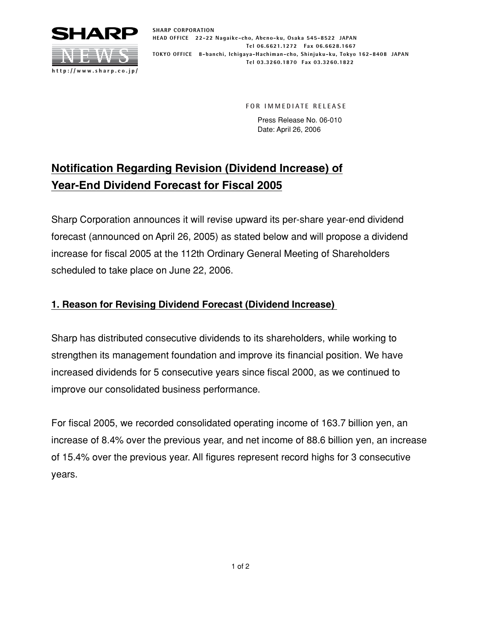

**SHARP CORPORATION HEAD OFFICE 22-22 Nagaike-cho, Abeno-ku, Osaka 545-8522 JAPAN Tel 06.6621.1272 Fax 06.6628.1667 TOKYO OFFICE 8-banchi, Ichigaya-Hachiman-cho, Shinjuku-ku, Tokyo 162-8408 JAPAN Tel 03.3260.1870 Fax 03.3260.1822**

**FOR IMMEDIATE RELEASE**

Press Release No. 06-010 Date: April 26, 2006

## **Notification Regarding Revision (Dividend Increase) of Year-End Dividend Forecast for Fiscal 2005**

Sharp Corporation announces it will revise upward its per-share year-end dividend forecast (announced on April 26, 2005) as stated below and will propose a dividend increase for fiscal 2005 at the 112th Ordinary General Meeting of Shareholders scheduled to take place on June 22, 2006.

## **1. Reason for Revising Dividend Forecast (Dividend Increase)**

Sharp has distributed consecutive dividends to its shareholders, while working to strengthen its management foundation and improve its financial position. We have increased dividends for 5 consecutive years since fiscal 2000, as we continued to improve our consolidated business performance.

For fiscal 2005, we recorded consolidated operating income of 163.7 billion yen, an increase of 8.4% over the previous year, and net income of 88.6 billion yen, an increase of 15.4% over the previous year. All figures represent record highs for 3 consecutive years.